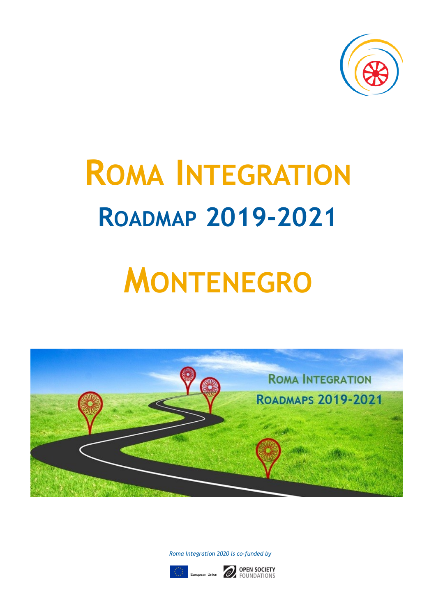

## **ROMA INTEGRATION ROADMAP 2019-2021**

## **MONTENEGRO**



 *Roma Integration 2020 is co-funded by*



European Union **CON SOCIETY**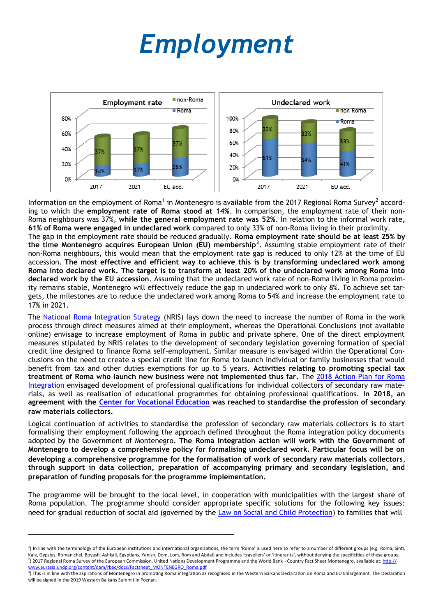## *Employment*



Information on the employment of Roma<sup>1</sup> in Montenegro is available from the 2017 Regional Roma Survey<sup>2</sup> according to which the **employment rate of Roma stood at 14%**. In comparison, the employment rate of their non-Roma neighbours was 37%, **while the general employment rate was 52%**. In relation to the informal work rate**, 61% of Roma were engaged in undeclared work** compared to only 33% of non-Roma living in their proximity. The gap in the employment rate should be reduced gradually. **Roma employment rate should be at least 25% by the time Montenegro acquires European Union (EU) membership<sup>3</sup> .** Assuming stable employment rate of their non-Roma neighbours, this would mean that the employment rate gap is reduced to only 12% at the time of EU accession. **The most effective and efficient way to achieve this is by transforming undeclared work among Roma into declared work. The target is to transform at least 20% of the undeclared work among Roma into declared work by the EU accession**. Assuming that the undeclared work rate of non-Roma living in Roma proximity remains stable, Montenegro will effectively reduce the gap in undeclared work to only 8%. To achieve set targets, the milestones are to reduce the undeclared work among Roma to 54% and increase the employment rate to 17% in 2021.

The [National Roma Integration Strategy](https://www.rcc.int/romaintegration2020/download/docs/20160324%20ME%20NRIS%202016-20%20%5ben%5d.pdf/516f4f38750495e5df7c9596503cf7e4.pdf) (NRIS) lays down the need to increase the number of Roma in the work process through direct measures aimed at their employment, whereas the Operational Conclusions (not available online) envisage to increase employment of Roma in public and private sphere. One of the direct employment measures stipulated by NRIS relates to the development of secondary legislation governing formation of special credit line designed to finance Roma self-employment. Similar measure is envisaged within the Operational Conclusions on the need to create a special credit line for Roma to launch individual or family businesses that would benefit from tax and other duties exemptions for up to 5 years. **Activities relating to promoting special tax treatment of Roma who launch new business were not implemented thus far.** The [2018 Action Plan for Roma](http://www.mmp.gov.me/ResourceManager/FileDownload.aspx?rid=308591&rType=2&file=AP%202018.%20Strategija%20za%20socijalnu%20inkluziju%20Roma%20i%20Egip%C4%87ana2016-2020.PDF)  [Integration](http://www.mmp.gov.me/ResourceManager/FileDownload.aspx?rid=308591&rType=2&file=AP%202018.%20Strategija%20za%20socijalnu%20inkluziju%20Roma%20i%20Egip%C4%87ana2016-2020.PDF) envisaged development of professional qualifications for individual collectors of secondary raw materials, as well as realisation of educational programmes for obtaining professional qualifications. **In 2018, an agreement with the [Center for Vocational Education](http://www.cso.gov.me/en/center) was reached to standardise the profession of secondary raw materials collectors.** 

Logical continuation of activities to standardise the profession of secondary raw materials collectors is to start formalising their employment following the approach defined throughout the Roma integration policy documents adopted by the Government of Montenegro. **The Roma Integration action will work with the Government of Montenegro to develop a comprehensive policy for formalising undeclared work. Particular focus will be on developing a comprehensive programme for the formalisation of work of secondary raw materials collectors**, **through support in data collection, preparation of accompanying primary and secondary legislation, and preparation of funding proposals for the programme implementation.** 

The programme will be brought to the local level, in cooperation with municipalities with the largest share of Roma population. The programme should consider appropriate specific solutions for the following key issues: need for gradual reduction of social aid (governed by the [Law on Social and Child Protection\)](http://www.minradiss.gov.me/ResourceManager/FileDownload.aspx?rid=338224&rType=2&file=Zakon%20o%20socijalnoj%20i%20dje%C4%8Djoj%20za%C5%A1titi.pdf) to families that will

**\_\_\_\_\_\_\_\_\_\_\_\_\_\_\_\_\_\_\_\_\_\_\_\_\_\_\_\_\_\_\_\_\_\_\_\_\_\_\_\_\_\_\_\_\_\_\_\_**

<sup>&</sup>lt;sup>1</sup>) In line with the terminology of the European institutions and international organisations, the term 'Roma' is used here to refer to a number of different groups (e.g. Roma, Sinti, Kale, Gypsies, Romanichel, Boyash, Ashkali, Egyptians, Yenish, Dom, Lom, Rom and Abdal) and includes 'travellers' or 'itinerants', without denying the specificities of these groups. <sup>2</sup>) 2017 Regional Roma Survey of the European Commission, United Nations Development Programme and the World Bank - Country Fact Sheet Montenegro, available at: [http://](http://www.eurasia.undp.org/content/dam/rbec/docs/Factsheet_MONTENEGRO_Roma.pdf) ww.eurasia.undp.org/content/dam/rbec/docs/Eactsheet\_MONTENEGRO\_Roma.pdf

<sup>&</sup>lt;sup>3</sup>) This is in line with the aspirations of Montenegro in promoting Roma integration as recognised in the Western Balkans Declaration on Roma and EU Enlargement. The Declaration will be signed in the 2019 Western Balkans Summit in Poznan.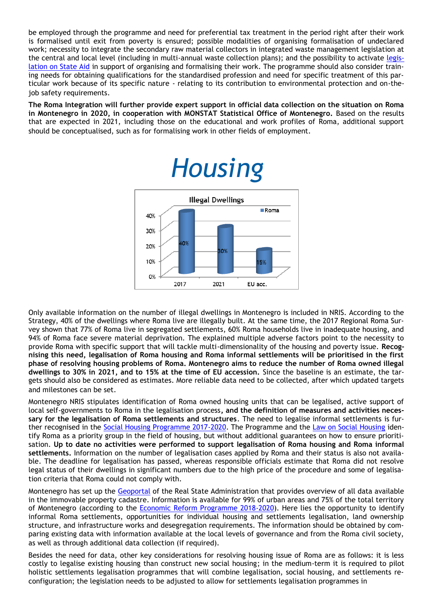be employed through the programme and need for preferential tax treatment in the period right after their work is formalised until exit from poverty is ensured; possible modalities of organising formalisation of undeclared work; necessity to integrate the secondary raw material collectors in integrated waste management legislation at the central and local level (including in multi-annual waste collection plans); and the possibility to activate [legis](http://www.azzk.me/novi/joomlanovi/pravni-okvir)[lation on State Aid](http://www.azzk.me/novi/joomlanovi/pravni-okvir) in support of organising and formalising their work. The programme should also consider training needs for obtaining qualifications for the standardised profession and need for specific treatment of this particular work because of its specific nature - relating to its contribution to environmental protection and on-thejob safety requirements.

**The Roma Integration will further provide expert support in official data collection on the situation on Roma in Montenegro in 2020, in cooperation with MONSTAT Statistical Office of Montenegro.** Based on the results that are expected in 2021, including those on the educational and work profiles of Roma, additional support should be conceptualised, such as for formalising work in other fields of employment.



Only available information on the number of illegal dwellings in Montenegro is included in NRIS. According to the Strategy, 40% of the dwellings where Roma live are illegally built. At the same time, the 2017 Regional Roma Survey shown that 77% of Roma live in segregated settlements, 60% Roma households live in inadequate housing, and 94% of Roma face severe material deprivation. The explained multiple adverse factors point to the necessity to provide Roma with specific support that will tackle multi-dimensionality of the housing and poverty issue. **Recognising this need, legalisation of Roma housing and Roma informal settlements will be prioritised in the first phase of resolving housing problems of Roma. Montenegro aims to reduce the number of Roma owned illegal dwellings to 30% in 2021, and to 15% at the time of EU accession.** Since the baseline is an estimate, the targets should also be considered as estimates. More reliable data need to be collected, after which updated targets and milestones can be set.

Montenegro NRIS stipulates identification of Roma owned housing units that can be legalised, active support of local self-governments to Roma in the legalisation process**, and the definition of measures and activities necessary for the legalisation of Roma settlements and structures**. The need to legalise informal settlements is further recognised in the [Social Housing Programme 2017-2020.](http://www.mrt.gov.me/ResourceManager/FileDownload.aspx?rId=291107&rType=2) The Programme and the [Law on Social Housing](http://www.mrt.gov.me/ResourceManager/FileDownload.aspx?rId=157467&rType=2) identify Roma as a priority group in the field of housing, but without additional guarantees on how to ensure prioritisation. **Up to date no activities were performed to support legalisation of Roma housing and Roma informal settlements.** Information on the number of legalisation cases applied by Roma and their status is also not available. The deadline for legalisation has passed, whereas responsible officials estimate that Roma did not resolve legal status of their dwellings in significant numbers due to the high price of the procedure and some of legalisation criteria that Roma could not comply with.

Montenegro has set up the [Geoportal](http://www.geoportal.co.me/) of the Real State Administration that provides overview of all data available in the immovable property cadastre. Information is available for 99% of urban areas and 75% of the total territory of Montenegro (according to the [Economic Reform Programme 2018-2020\).](http://www.gov.me/ResourceManager/FileDownload.aspx?rId=305877&rType=2) Here lies the opportunity to identify informal Roma settlements, opportunities for individual housing and settlements legalisation, land ownership structure, and infrastructure works and desegregation requirements. The information should be obtained by comparing existing data with information available at the local levels of governance and from the Roma civil society, as well as through additional data collection (if required).

Besides the need for data, other key considerations for resolving housing issue of Roma are as follows: it is less costly to legalise existing housing than construct new social housing; in the medium-term it is required to pilot holistic settlements legalisation programmes that will combine legalisation, social housing, and settlements reconfiguration; the legislation needs to be adjusted to allow for settlements legalisation programmes in